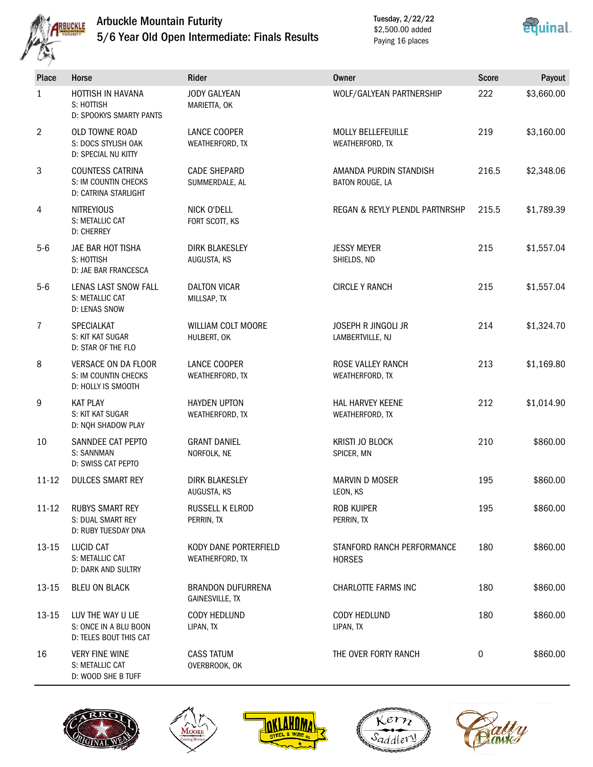

## Arbuckle Mountain Futurity 5/6 Year Old Open Intermediate: Finals Results

Tuesday, 2/22/22 \$2,500.00 added Paying 16 places



| <b>Place</b>   | Horse                                                                    | Rider                                              | <b>Owner</b>                                | <b>Score</b> | Payout     |
|----------------|--------------------------------------------------------------------------|----------------------------------------------------|---------------------------------------------|--------------|------------|
| $\mathbf{1}$   | HOTTISH IN HAVANA<br>S: HOTTISH<br>D: SPOOKYS SMARTY PANTS               | <b>JODY GALYEAN</b><br>MARIETTA, OK                | WOLF/GALYEAN PARTNERSHIP                    | 222          | \$3,660.00 |
| $\overline{2}$ | OLD TOWNE ROAD<br>S: DOCS STYLISH OAK<br>D: SPECIAL NU KITTY             | LANCE COOPER<br>WEATHERFORD, TX                    | MOLLY BELLEFEUILLE<br>WEATHERFORD, TX       | 219          | \$3,160.00 |
| 3              | <b>COUNTESS CATRINA</b><br>S: IM COUNTIN CHECKS<br>D: CATRINA STARLIGHT  | <b>CADE SHEPARD</b><br>SUMMERDALE, AL              | AMANDA PURDIN STANDISH<br>BATON ROUGE, LA   | 216.5        | \$2,348.06 |
| 4              | <b>NITREYIOUS</b><br>S: METALLIC CAT<br><b>D: CHERREY</b>                | NICK O'DELL<br>FORT SCOTT, KS                      | REGAN & REYLY PLENDL PARTNRSHP              | 215.5        | \$1,789.39 |
| $5-6$          | JAE BAR HOT TISHA<br>S: HOTTISH<br><b>D: JAE BAR FRANCESCA</b>           | <b>DIRK BLAKESLEY</b><br>AUGUSTA, KS               | <b>JESSY MEYER</b><br>SHIELDS, ND           | 215          | \$1,557.04 |
| $5-6$          | LENAS LAST SNOW FALL<br>S: METALLIC CAT<br>D: LENAS SNOW                 | <b>DALTON VICAR</b><br>MILLSAP, TX                 | <b>CIRCLE Y RANCH</b>                       | 215          | \$1,557.04 |
| 7              | SPECIALKAT<br>S: KIT KAT SUGAR<br>D: STAR OF THE FLO                     | WILLIAM COLT MOORE<br>HULBERT, OK                  | JOSEPH R JINGOLI JR<br>LAMBERTVILLE, NJ     | 214          | \$1,324.70 |
| 8              | <b>VERSACE ON DA FLOOR</b><br>S: IM COUNTIN CHECKS<br>D: HOLLY IS SMOOTH | LANCE COOPER<br>WEATHERFORD, TX                    | ROSE VALLEY RANCH<br>WEATHERFORD, TX        | 213          | \$1,169.80 |
| 9              | <b>KAT PLAY</b><br>S: KIT KAT SUGAR<br>D: NQH SHADOW PLAY                | <b>HAYDEN UPTON</b><br>WEATHERFORD, TX             | <b>HAL HARVEY KEENE</b><br>WEATHERFORD, TX  | 212          | \$1,014.90 |
| 10             | SANNDEE CAT PEPTO<br>S: SANNMAN<br>D: SWISS CAT PEPTO                    | <b>GRANT DANIEL</b><br>NORFOLK, NE                 | <b>KRISTI JO BLOCK</b><br>SPICER, MN        | 210          | \$860.00   |
| $11 - 12$      | <b>DULCES SMART REY</b>                                                  | <b>DIRK BLAKESLEY</b><br>AUGUSTA, KS               | <b>MARVIN D MOSER</b><br>LEON, KS           | 195          | \$860.00   |
| $11 - 12$      | <b>RUBYS SMART REY</b><br>S: DUAL SMART REY<br>D: RUBY TUESDAY DNA       | RUSSELL K ELROD<br>PERRIN, TX                      | ROB KUIPER<br>PERRIN, TX                    | 195          | \$860.00   |
| 13-15          | LUCID CAT<br>S: METALLIC CAT<br>D: DARK AND SULTRY                       | KODY DANE PORTERFIELD<br>WEATHERFORD, TX           | STANFORD RANCH PERFORMANCE<br><b>HORSES</b> | 180          | \$860.00   |
| 13-15          | <b>BLEU ON BLACK</b>                                                     | <b>BRANDON DUFURRENA</b><br><b>GAINESVILLE, TX</b> | CHARLOTTE FARMS INC                         | 180          | \$860.00   |
| 13-15          | LUV THE WAY U LIE<br>S: ONCE IN A BLU BOON<br>D: TELES BOUT THIS CAT     | CODY HEDLUND<br>LIPAN, TX                          | CODY HEDLUND<br>LIPAN, TX                   | 180          | \$860.00   |
| 16             | <b>VERY FINE WINE</b><br>S: METALLIC CAT<br>D: WOOD SHE B TUFF           | <b>CASS TATUM</b><br>OVERBROOK, OK                 | THE OVER FORTY RANCH                        | 0            | \$860.00   |









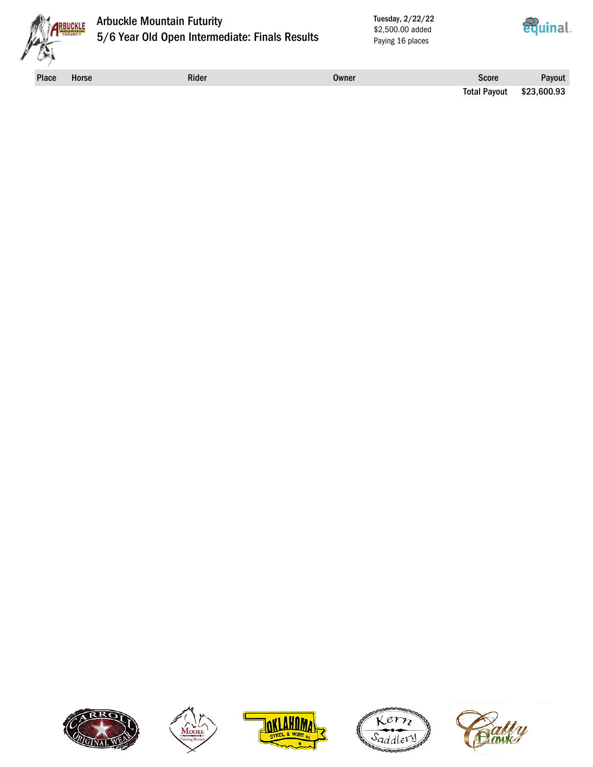

### Arbuckle Mountain Futurity 5/6 Year Old Open Intermediate: Finals Results

Tuesday, 2/22/22 \$2,500.00 added Paying 16 places



Place Horse **Rider Rider Score** Rider Score Payout Score Rayout Score Rayout Score Rayout

Total Payout \$23,600.93









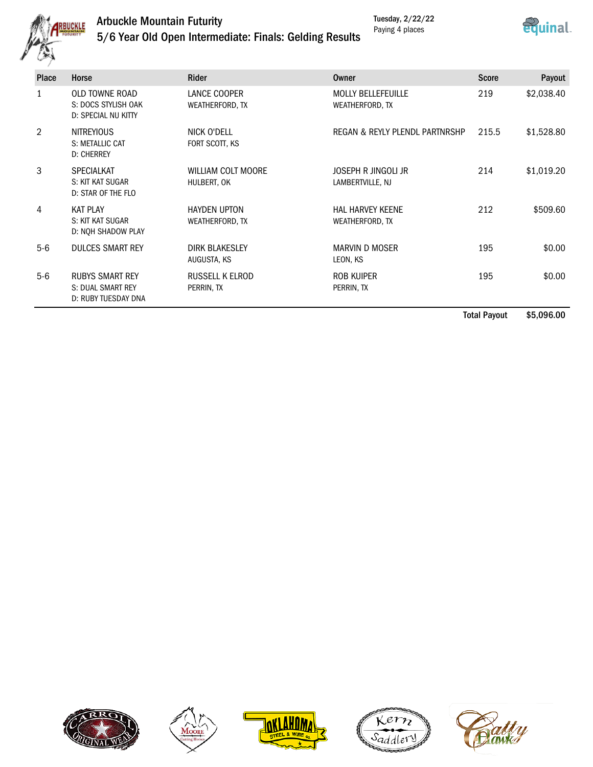

# Arbuckle Mountain Futurity



# 5/6 Year Old Open Intermediate: Finals: Gelding Results

| <b>Place</b> | Horse                                                               | <b>Rider</b>                             | Owner                                        | <b>Score</b> | Payout     |
|--------------|---------------------------------------------------------------------|------------------------------------------|----------------------------------------------|--------------|------------|
| 1            | <b>OLD TOWNE ROAD</b><br>S: DOCS STYLISH OAK<br>D: SPECIAL NU KITTY | LANCE COOPER<br>WEATHERFORD, TX          | <b>MOLLY BELLEFEUILLE</b><br>WEATHERFORD, TX | 219          | \$2,038.40 |
| 2            | <b>NITREYIOUS</b><br>S: METALLIC CAT<br><b>D: CHERREY</b>           | NICK O'DELL<br>FORT SCOTT, KS            | REGAN & REYLY PLENDL PARTNRSHP               | 215.5        | \$1,528.80 |
| 3            | <b>SPECIALKAT</b><br>S: KIT KAT SUGAR<br>D: STAR OF THE FLO         | <b>WILLIAM COLT MOORE</b><br>HULBERT, OK | JOSEPH R JINGOLI JR<br>LAMBERTVILLE, NJ      | 214          | \$1,019.20 |
| 4            | <b>KAT PLAY</b><br>S: KIT KAT SUGAR<br>D: NOH SHADOW PLAY           | <b>HAYDEN UPTON</b><br>WEATHERFORD, TX   | <b>HAL HARVEY KEENE</b><br>WEATHERFORD, TX   | 212          | \$509.60   |
| $5-6$        | <b>DULCES SMART REY</b>                                             | <b>DIRK BLAKESLEY</b><br>AUGUSTA, KS     | MARVIN D MOSER<br>LEON, KS                   | 195          | \$0.00     |
| $5-6$        | <b>RUBYS SMART REY</b><br>S: DUAL SMART REY<br>D: RUBY TUESDAY DNA  | <b>RUSSELL K ELROD</b><br>PERRIN, TX     | ROB KUIPER<br>PERRIN, TX                     | 195          | \$0.00     |

Total Payout \$5,096.00









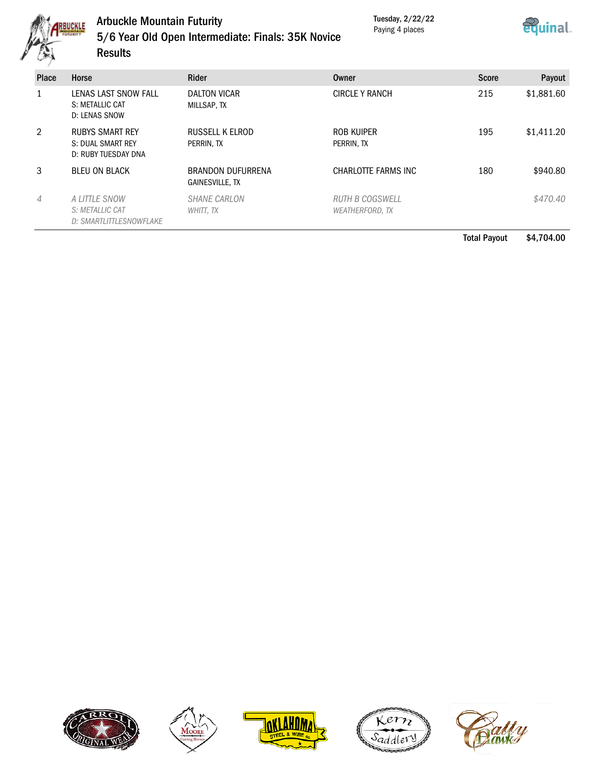

#### Arbuckle Mountain Futurity 5/6 Year Old Open Intermediate: Finals: 35K Novice Results

Tuesday, 2/22/22 Paying 4 places



| <b>Place</b> | Horse                                                              | <b>Rider</b>                         | Owner                                     | Score | Payout     |
|--------------|--------------------------------------------------------------------|--------------------------------------|-------------------------------------------|-------|------------|
|              | LENAS LAST SNOW FALL<br>S: METALLIC CAT<br>D: LENAS SNOW           | DALTON VICAR<br>MILLSAP, TX          | <b>CIRCLE Y RANCH</b>                     | 215   | \$1,881.60 |
| 2            | <b>RUBYS SMART REY</b><br>S: DUAL SMART REY<br>D: RUBY TUESDAY DNA | RUSSELL K ELROD<br>PERRIN, TX        | ROB KUIPER<br>PERRIN, TX                  | 195   | \$1,411.20 |
| 3            | <b>BLEU ON BLACK</b>                                               | BRANDON DUFURRENA<br>GAINESVILLE, TX | CHARLOTTE FARMS INC                       | 180   | \$940.80   |
| 4            | A LITTLE SNOW<br>S: METALLIC CAT<br>D: SMARTLITTLESNOWFLAKE        | <b>SHANE CARLON</b><br>WHITT, TX     | RUTH B COGSWELL<br><b>WEATHERFORD, TX</b> |       | \$470.40   |

Total Payout \$4,704.00